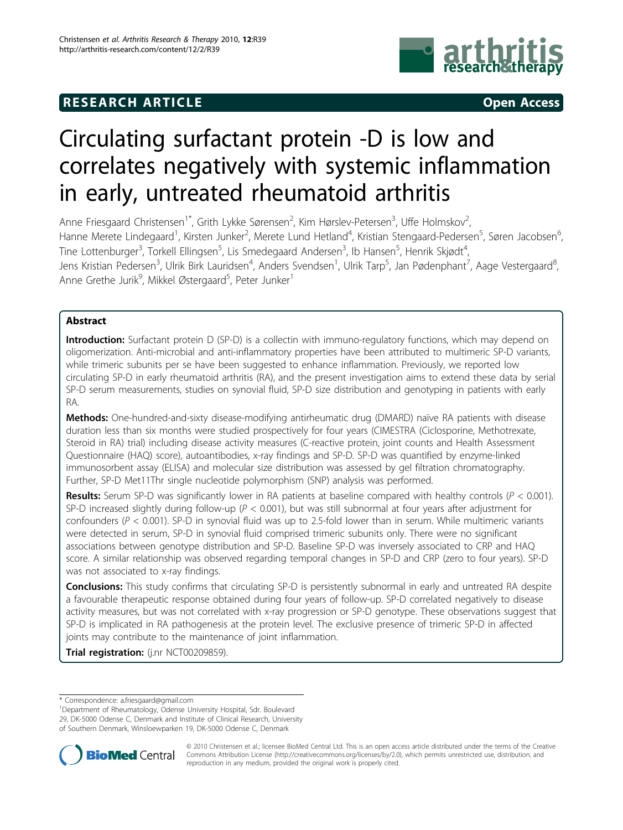# **RESEARCH ARTICLE Example 2008 CONSIDERING ACCESS**



# Circulating surfactant protein -D is low and correlates negatively with systemic inflammation in early, untreated rheumatoid arthritis

Anne Friesgaard Christensen<sup>1\*</sup>, Grith Lykke Sørensen<sup>2</sup>, Kim Hørslev-Petersen<sup>3</sup>, Uffe Holmskov<sup>2</sup> , Hanne Merete Lindegaard<sup>1</sup>, Kirsten Junker<sup>2</sup>, Merete Lund Hetland<sup>4</sup>, Kristian Stengaard-Pedersen<sup>5</sup>, Søren Jacobsen<sup>6</sup> .<br>, Tine Lottenburger<sup>3</sup>, Torkell Ellingsen<sup>5</sup>, Lis Smedegaard Andersen<sup>3</sup>, Ib Hansen<sup>5</sup>, Henrik Skjødt<sup>4</sup> , Jens Kristian Pedersen<sup>3</sup>, Ulrik Birk Lauridsen<sup>4</sup>, Anders Svendsen<sup>1</sup>, Ulrik Tarp<sup>5</sup>, Jan Pødenphant<sup>7</sup>, Aage Vestergaard<sup>8</sup> , Anne Grethe Jurik<sup>9</sup>, Mikkel Østergaard<sup>5</sup>, Peter Junker<sup>1</sup>

# Abstract

Introduction: Surfactant protein D (SP-D) is a collectin with immuno-regulatory functions, which may depend on oligomerization. Anti-microbial and anti-inflammatory properties have been attributed to multimeric SP-D variants, while trimeric subunits per se have been suggested to enhance inflammation. Previously, we reported low circulating SP-D in early rheumatoid arthritis (RA), and the present investigation aims to extend these data by serial SP-D serum measurements, studies on synovial fluid, SP-D size distribution and genotyping in patients with early RA.

Methods: One-hundred-and-sixty disease-modifying antirheumatic drug (DMARD) naïve RA patients with disease duration less than six months were studied prospectively for four years (CIMESTRA (Ciclosporine, Methotrexate, Steroid in RA) trial) including disease activity measures (C-reactive protein, joint counts and Health Assessment Questionnaire (HAQ) score), autoantibodies, x-ray findings and SP-D. SP-D was quantified by enzyme-linked immunosorbent assay (ELISA) and molecular size distribution was assessed by gel filtration chromatography. Further, SP-D Met11Thr single nucleotide polymorphism (SNP) analysis was performed.

**Results:** Serum SP-D was significantly lower in RA patients at baseline compared with healthy controls ( $P < 0.001$ ). SP-D increased slightly during follow-up ( $P < 0.001$ ), but was still subnormal at four years after adjustment for confounders ( $P < 0.001$ ). SP-D in synovial fluid was up to 2.5-fold lower than in serum. While multimeric variants were detected in serum, SP-D in synovial fluid comprised trimeric subunits only. There were no significant associations between genotype distribution and SP-D. Baseline SP-D was inversely associated to CRP and HAQ score. A similar relationship was observed regarding temporal changes in SP-D and CRP (zero to four years). SP-D was not associated to x-ray findings.

**Conclusions:** This study confirms that circulating SP-D is persistently subnormal in early and untreated RA despite a favourable therapeutic response obtained during four years of follow-up. SP-D correlated negatively to disease activity measures, but was not correlated with x-ray progression or SP-D genotype. These observations suggest that SP-D is implicated in RA pathogenesis at the protein level. The exclusive presence of trimeric SP-D in affected joints may contribute to the maintenance of joint inflammation.

Trial registration: (j.nr NCT00209859).

<sup>1</sup>Department of Rheumatology, Odense University Hospital, Sdr. Boulevard 29, DK-5000 Odense C, Denmark and Institute of Clinical Research, University of Southern Denmark, Winsloewparken 19, DK-5000 Odense C, Denmark



© 2010 Christensen et al.; licensee BioMed Central Ltd. This is an open access article distributed under the terms of the Creative Commons Attribution License [\(http://creativecommons.org/licenses/by/2.0](http://creativecommons.org/licenses/by/2.0)), which permits unrestricted use, distribution, and reproduction in any medium, provided the original work is properly cited.

<sup>\*</sup> Correspondence: [a.friesgaard@gmail.com](mailto:a.friesgaard@gmail.com)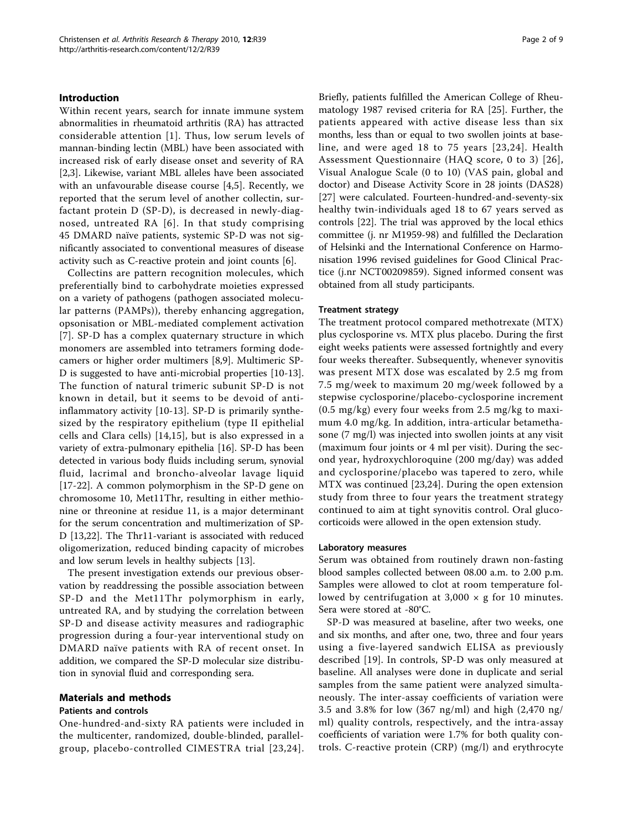### Introduction

Within recent years, search for innate immune system abnormalities in rheumatoid arthritis (RA) has attracted considerable attention [[1](#page-7-0)]. Thus, low serum levels of mannan-binding lectin (MBL) have been associated with increased risk of early disease onset and severity of RA [[2,3\]](#page-7-0). Likewise, variant MBL alleles have been associated with an unfavourable disease course [[4,5\]](#page-7-0). Recently, we reported that the serum level of another collectin, surfactant protein D (SP-D), is decreased in newly-diagnosed, untreated RA [[6](#page-7-0)]. In that study comprising 45 DMARD naïve patients, systemic SP-D was not significantly associated to conventional measures of disease activity such as C-reactive protein and joint counts [\[6](#page-7-0)].

Collectins are pattern recognition molecules, which preferentially bind to carbohydrate moieties expressed on a variety of pathogens (pathogen associated molecular patterns (PAMPs)), thereby enhancing aggregation, opsonisation or MBL-mediated complement activation [[7](#page-7-0)]. SP-D has a complex quaternary structure in which monomers are assembled into tetramers forming dodecamers or higher order multimers [[8,9\]](#page-7-0). Multimeric SP-D is suggested to have anti-microbial properties [[10-13](#page-7-0)]. The function of natural trimeric subunit SP-D is not known in detail, but it seems to be devoid of antiinflammatory activity [[10-13](#page-7-0)]. SP-D is primarily synthesized by the respiratory epithelium (type II epithelial cells and Clara cells) [\[14,15\]](#page-7-0), but is also expressed in a variety of extra-pulmonary epithelia [\[16](#page-7-0)]. SP-D has been detected in various body fluids including serum, synovial fluid, lacrimal and broncho-alveolar lavage liquid [[17-22](#page-7-0)]. A common polymorphism in the SP-D gene on chromosome 10, Met11Thr, resulting in either methionine or threonine at residue 11, is a major determinant for the serum concentration and multimerization of SP-D [\[13,22](#page-7-0)]. The Thr11-variant is associated with reduced oligomerization, reduced binding capacity of microbes and low serum levels in healthy subjects [[13\]](#page-7-0).

The present investigation extends our previous observation by readdressing the possible association between SP-D and the Met11Thr polymorphism in early, untreated RA, and by studying the correlation between SP-D and disease activity measures and radiographic progression during a four-year interventional study on DMARD naïve patients with RA of recent onset. In addition, we compared the SP-D molecular size distribution in synovial fluid and corresponding sera.

# Materials and methods

## Patients and controls

One-hundred-and-sixty RA patients were included in the multicenter, randomized, double-blinded, parallelgroup, placebo-controlled CIMESTRA trial [[23](#page-7-0),[24\]](#page-7-0). Briefly, patients fulfilled the American College of Rheumatology 1987 revised criteria for RA [[25\]](#page-7-0). Further, the patients appeared with active disease less than six months, less than or equal to two swollen joints at baseline, and were aged 18 to 75 years [[23](#page-7-0),[24](#page-7-0)]. Health Assessment Questionnaire (HAQ score, 0 to 3) [\[26\]](#page-8-0), Visual Analogue Scale (0 to 10) (VAS pain, global and doctor) and Disease Activity Score in 28 joints (DAS28) [[27\]](#page-8-0) were calculated. Fourteen-hundred-and-seventy-six healthy twin-individuals aged 18 to 67 years served as controls [[22\]](#page-7-0). The trial was approved by the local ethics committee (j. nr M1959-98) and fulfilled the Declaration of Helsinki and the International Conference on Harmonisation 1996 revised guidelines for Good Clinical Practice (j.nr NCT00209859). Signed informed consent was obtained from all study participants.

#### Treatment strategy

The treatment protocol compared methotrexate (MTX) plus cyclosporine vs. MTX plus placebo. During the first eight weeks patients were assessed fortnightly and every four weeks thereafter. Subsequently, whenever synovitis was present MTX dose was escalated by 2.5 mg from 7.5 mg/week to maximum 20 mg/week followed by a stepwise cyclosporine/placebo-cyclosporine increment (0.5 mg/kg) every four weeks from 2.5 mg/kg to maximum 4.0 mg/kg. In addition, intra-articular betamethasone (7 mg/l) was injected into swollen joints at any visit (maximum four joints or 4 ml per visit). During the second year, hydroxychloroquine (200 mg/day) was added and cyclosporine/placebo was tapered to zero, while MTX was continued [\[23](#page-7-0),[24\]](#page-7-0). During the open extension study from three to four years the treatment strategy continued to aim at tight synovitis control. Oral glucocorticoids were allowed in the open extension study.

#### Laboratory measures

Serum was obtained from routinely drawn non-fasting blood samples collected between 08.00 a.m. to 2.00 p.m. Samples were allowed to clot at room temperature followed by centrifugation at  $3,000 \times g$  for 10 minutes. Sera were stored at -80°C.

SP-D was measured at baseline, after two weeks, one and six months, and after one, two, three and four years using a five-layered sandwich ELISA as previously described [[19](#page-7-0)]. In controls, SP-D was only measured at baseline. All analyses were done in duplicate and serial samples from the same patient were analyzed simultaneously. The inter-assay coefficients of variation were 3.5 and 3.8% for low (367 ng/ml) and high (2,470 ng/ ml) quality controls, respectively, and the intra-assay coefficients of variation were 1.7% for both quality controls. C-reactive protein (CRP) (mg/l) and erythrocyte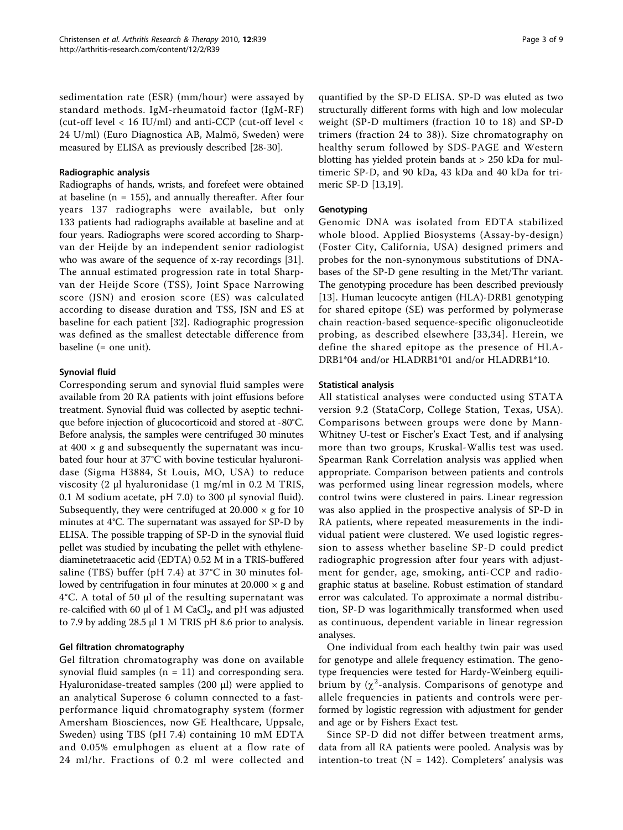sedimentation rate (ESR) (mm/hour) were assayed by standard methods. IgM-rheumatoid factor (IgM-RF) (cut-off level < 16 IU/ml) and anti-CCP (cut-off level < 24 U/ml) (Euro Diagnostica AB, Malmö, Sweden) were measured by ELISA as previously described [\[28-30](#page-8-0)].

## Radiographic analysis

Radiographs of hands, wrists, and forefeet were obtained at baseline ( $n = 155$ ), and annually thereafter. After four years 137 radiographs were available, but only 133 patients had radiographs available at baseline and at four years. Radiographs were scored according to Sharpvan der Heijde by an independent senior radiologist who was aware of the sequence of x-ray recordings [\[31](#page-8-0)]. The annual estimated progression rate in total Sharpvan der Heijde Score (TSS), Joint Space Narrowing score (JSN) and erosion score (ES) was calculated according to disease duration and TSS, JSN and ES at baseline for each patient [[32\]](#page-8-0). Radiographic progression was defined as the smallest detectable difference from baseline (= one unit).

# Synovial fluid

Corresponding serum and synovial fluid samples were available from 20 RA patients with joint effusions before treatment. Synovial fluid was collected by aseptic technique before injection of glucocorticoid and stored at -80°C. Before analysis, the samples were centrifuged 30 minutes at  $400 \times g$  and subsequently the supernatant was incubated four hour at 37°C with bovine testicular hyaluronidase (Sigma H3884, St Louis, MO, USA) to reduce viscosity (2 μl hyaluronidase (1 mg/ml in 0.2 M TRIS, 0.1 M sodium acetate, pH 7.0) to 300 μl synovial fluid). Subsequently, they were centrifuged at  $20.000 \times g$  for 10 minutes at 4°C. The supernatant was assayed for SP-D by ELISA. The possible trapping of SP-D in the synovial fluid pellet was studied by incubating the pellet with ethylenediaminetetraacetic acid (EDTA) 0.52 M in a TRIS-buffered saline (TBS) buffer (pH 7.4) at 37°C in 30 minutes followed by centrifugation in four minutes at  $20.000 \times g$  and 4°C. A total of 50 μl of the resulting supernatant was re-calcified with 60  $\mu$ l of 1 M CaCl<sub>2</sub>, and pH was adjusted to 7.9 by adding 28.5 μl 1 M TRIS pH 8.6 prior to analysis.

#### Gel filtration chromatography

Gel filtration chromatography was done on available synovial fluid samples  $(n = 11)$  and corresponding sera. Hyaluronidase-treated samples (200 μl) were applied to an analytical Superose 6 column connected to a fastperformance liquid chromatography system (former Amersham Biosciences, now GE Healthcare, Uppsale, Sweden) using TBS (pH 7.4) containing 10 mM EDTA and 0.05% emulphogen as eluent at a flow rate of 24 ml/hr. Fractions of 0.2 ml were collected and

quantified by the SP-D ELISA. SP-D was eluted as two structurally different forms with high and low molecular weight (SP-D multimers (fraction 10 to 18) and SP-D trimers (fraction 24 to 38)). Size chromatography on healthy serum followed by SDS-PAGE and Western blotting has yielded protein bands at > 250 kDa for multimeric SP-D, and 90 kDa, 43 kDa and 40 kDa for trimeric SP-D [[13,19](#page-7-0)].

# Genotyping

Genomic DNA was isolated from EDTA stabilized whole blood. Applied Biosystems (Assay-by-design) (Foster City, California, USA) designed primers and probes for the non-synonymous substitutions of DNAbases of the SP-D gene resulting in the Met/Thr variant. The genotyping procedure has been described previously [[13\]](#page-7-0). Human leucocyte antigen (HLA)-DRB1 genotyping for shared epitope (SE) was performed by polymerase chain reaction-based sequence-specific oligonucleotide probing, as described elsewhere [[33,34](#page-8-0)]. Herein, we define the shared epitope as the presence of HLA-DRB1\*04 and/or HLADRB1\*01 and/or HLADRB1\*10.

#### Statistical analysis

All statistical analyses were conducted using STATA version 9.2 (StataCorp, College Station, Texas, USA). Comparisons between groups were done by Mann-Whitney U-test or Fischer's Exact Test, and if analysing more than two groups, Kruskal-Wallis test was used. Spearman Rank Correlation analysis was applied when appropriate. Comparison between patients and controls was performed using linear regression models, where control twins were clustered in pairs. Linear regression was also applied in the prospective analysis of SP-D in RA patients, where repeated measurements in the individual patient were clustered. We used logistic regression to assess whether baseline SP-D could predict radiographic progression after four years with adjustment for gender, age, smoking, anti-CCP and radiographic status at baseline. Robust estimation of standard error was calculated. To approximate a normal distribution, SP-D was logarithmically transformed when used as continuous, dependent variable in linear regression analyses.

One individual from each healthy twin pair was used for genotype and allele frequency estimation. The genotype frequencies were tested for Hardy-Weinberg equilibrium by  $(\chi^2$ -analysis. Comparisons of genotype and allele frequencies in patients and controls were performed by logistic regression with adjustment for gender and age or by Fishers Exact test.

Since SP-D did not differ between treatment arms, data from all RA patients were pooled. Analysis was by intention-to treat ( $N = 142$ ). Completers' analysis was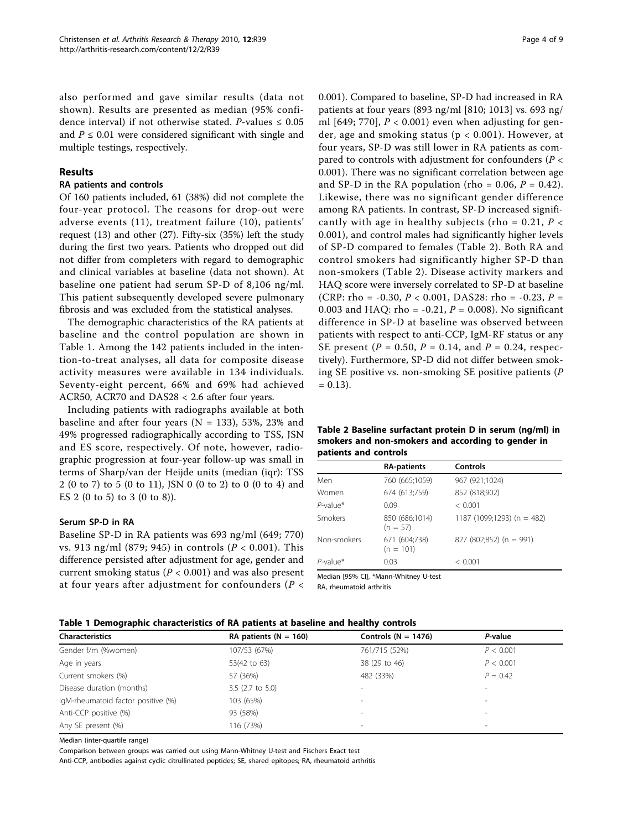also performed and gave similar results (data not shown). Results are presented as median (95% confidence interval) if not otherwise stated. P-values  $\leq 0.05$ and  $P \le 0.01$  were considered significant with single and multiple testings, respectively.

# Results

#### RA patients and controls

Of 160 patients included, 61 (38%) did not complete the four-year protocol. The reasons for drop-out were adverse events (11), treatment failure (10), patients' request (13) and other (27). Fifty-six (35%) left the study during the first two years. Patients who dropped out did not differ from completers with regard to demographic and clinical variables at baseline (data not shown). At baseline one patient had serum SP-D of 8,106 ng/ml. This patient subsequently developed severe pulmonary fibrosis and was excluded from the statistical analyses.

The demographic characteristics of the RA patients at baseline and the control population are shown in Table 1. Among the 142 patients included in the intention-to-treat analyses, all data for composite disease activity measures were available in 134 individuals. Seventy-eight percent, 66% and 69% had achieved ACR50, ACR70 and DAS28 < 2.6 after four years.

Including patients with radiographs available at both baseline and after four years ( $N = 133$ ), 53%, 23% and 49% progressed radiographically according to TSS, JSN and ES score, respectively. Of note, however, radiographic progression at four-year follow-up was small in terms of Sharp/van der Heijde units (median (iqr): TSS 2 (0 to 7) to 5 (0 to 11), JSN 0 (0 to 2) to 0 (0 to 4) and ES 2 (0 to 5) to 3 (0 to 8)).

## Serum SP-D in RA

Baseline SP-D in RA patients was 693 ng/ml (649; 770) vs. 913 ng/ml (879; 945) in controls ( $P < 0.001$ ). This difference persisted after adjustment for age, gender and current smoking status ( $P < 0.001$ ) and was also present at four years after adjustment for confounders ( $P <$  0.001). Compared to baseline, SP-D had increased in RA patients at four years (893 ng/ml [810; 1013] vs. 693 ng/ ml [649; 770],  $P < 0.001$ ) even when adjusting for gender, age and smoking status ( $p < 0.001$ ). However, at four years, SP-D was still lower in RA patients as compared to controls with adjustment for confounders ( $P <$ 0.001). There was no significant correlation between age and SP-D in the RA population (rho =  $0.06$ ,  $P = 0.42$ ). Likewise, there was no significant gender difference among RA patients. In contrast, SP-D increased significantly with age in healthy subjects (rho =  $0.21$ ,  $P$  < 0.001), and control males had significantly higher levels of SP-D compared to females (Table 2). Both RA and control smokers had significantly higher SP-D than non-smokers (Table 2). Disease activity markers and HAQ score were inversely correlated to SP-D at baseline (CRP: rho = -0.30,  $P < 0.001$ , DAS28: rho = -0.23,  $P =$ 0.003 and HAQ: rho =  $-0.21$ ,  $P = 0.008$ ). No significant difference in SP-D at baseline was observed between patients with respect to anti-CCP, IgM-RF status or any SE present ( $P = 0.50$ ,  $P = 0.14$ , and  $P = 0.24$ , respectively). Furthermore, SP-D did not differ between smoking SE positive vs. non-smoking SE positive patients (P  $= 0.13$ .

## Table 2 Baseline surfactant protein D in serum (ng/ml) in smokers and non-smokers and according to gender in patients and controls

|                                       | <b>RA-patients</b>           | Controls                   |  |  |
|---------------------------------------|------------------------------|----------------------------|--|--|
| Men                                   | 760 (665;1059)               | 967 (921;1024)             |  |  |
| Women                                 | 674 (613;759)                | 852 (818;902)              |  |  |
| $P$ -value*                           | 0.09                         | < 0.001                    |  |  |
| Smokers                               | 850 (686;1014)<br>$(n = 57)$ | 1187 (1099;1293) (n = 482) |  |  |
| Non-smokers                           | 671 (604;738)<br>$(n = 101)$ | 827 (802;852) (n = 991)    |  |  |
| $P$ -value*                           | 0.03                         | < 0.001                    |  |  |
| Median [95% CI]. *Mann-Whitney U-test |                              |                            |  |  |

n [95% CI], \*Mann-Whitney U-test RA, rheumatoid arthritis

|  | Table 1 Demographic characteristics of RA patients at baseline and healthy controls |  |  |  |
|--|-------------------------------------------------------------------------------------|--|--|--|
|--|-------------------------------------------------------------------------------------|--|--|--|

| <b>Characteristics</b>             | RA patients ( $N = 160$ ) | Controls ( $N = 1476$ ) | P-value    |  |
|------------------------------------|---------------------------|-------------------------|------------|--|
| Gender f/m (%women)                | 107/53 (67%)              | 761/715 (52%)           | P < 0.001  |  |
| Age in years                       | 53(42 to 63)              | 38 (29 to 46)           | P < 0.001  |  |
| Current smokers (%)                | 57 (36%)                  | 482 (33%)               | $P = 0.42$ |  |
| Disease duration (months)          | $3.5$ (2.7 to 5.0)        |                         | $\,$       |  |
| IgM-rheumatoid factor positive (%) | 103 (65%)                 |                         | $\,$       |  |
| Anti-CCP positive (%)              | 93 (58%)                  |                         | $\sim$     |  |
| Any SE present (%)                 | 116 (73%)                 |                         | $\,$       |  |

Median (inter-quartile range)

Comparison between groups was carried out using Mann-Whitney U-test and Fischers Exact test

Anti-CCP, antibodies against cyclic citrullinated peptides; SE, shared epitopes; RA, rheumatoid arthritis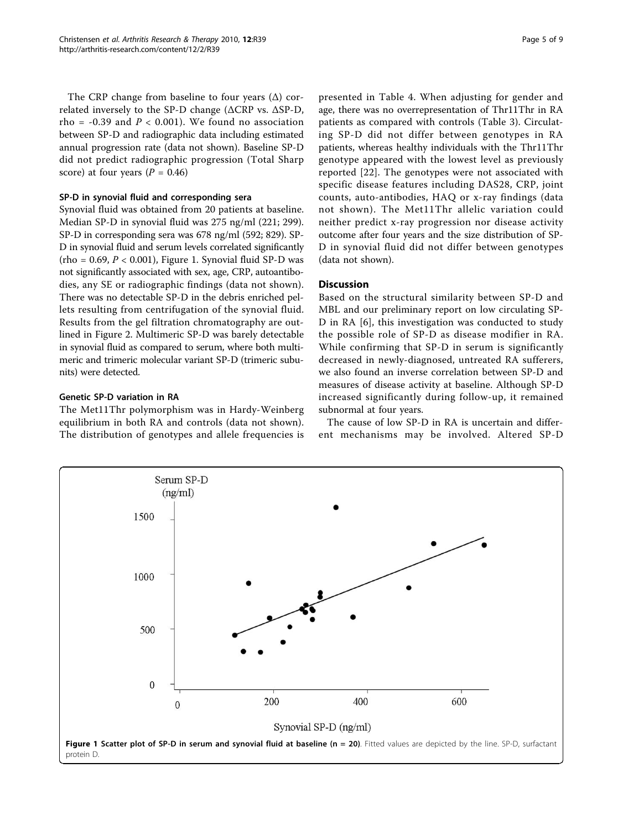The CRP change from baseline to four years  $(\Delta)$  correlated inversely to the SP-D change (ΔCRP vs. ΔSP-D, rho = -0.39 and  $P < 0.001$ ). We found no association between SP-D and radiographic data including estimated annual progression rate (data not shown). Baseline SP-D did not predict radiographic progression (Total Sharp score) at four years  $(P = 0.46)$ 

#### SP-D in synovial fluid and corresponding sera

Synovial fluid was obtained from 20 patients at baseline. Median SP-D in synovial fluid was 275 ng/ml (221; 299). SP-D in corresponding sera was 678 ng/ml (592; 829). SP-D in synovial fluid and serum levels correlated significantly  $(rho = 0.69, P < 0.001)$ , Figure 1. Synovial fluid SP-D was not significantly associated with sex, age, CRP, autoantibodies, any SE or radiographic findings (data not shown). There was no detectable SP-D in the debris enriched pellets resulting from centrifugation of the synovial fluid. Results from the gel filtration chromatography are outlined in Figure [2.](#page-5-0) Multimeric SP-D was barely detectable in synovial fluid as compared to serum, where both multimeric and trimeric molecular variant SP-D (trimeric subunits) were detected.

#### Genetic SP-D variation in RA

The Met11Thr polymorphism was in Hardy-Weinberg equilibrium in both RA and controls (data not shown). The distribution of genotypes and allele frequencies is

presented in Table 4. When adjusting for gender and age, there was no overrepresentation of Thr11Thr in RA patients as compared with controls (Table [3](#page-5-0)). Circulating SP-D did not differ between genotypes in RA patients, whereas healthy individuals with the Thr11Thr genotype appeared with the lowest level as previously reported [[22\]](#page-7-0). The genotypes were not associated with specific disease features including DAS28, CRP, joint counts, auto-antibodies, HAQ or x-ray findings (data not shown). The Met11Thr allelic variation could neither predict x-ray progression nor disease activity outcome after four years and the size distribution of SP-D in synovial fluid did not differ between genotypes (data not shown).

#### **Discussion**

Based on the structural similarity between SP-D and MBL and our preliminary report on low circulating SP-D in RA [\[6](#page-7-0)], this investigation was conducted to study the possible role of SP-D as disease modifier in RA. While confirming that SP-D in serum is significantly decreased in newly-diagnosed, untreated RA sufferers, we also found an inverse correlation between SP-D and measures of disease activity at baseline. Although SP-D increased significantly during follow-up, it remained subnormal at four years.

The cause of low SP-D in RA is uncertain and different mechanisms may be involved. Altered SP-D

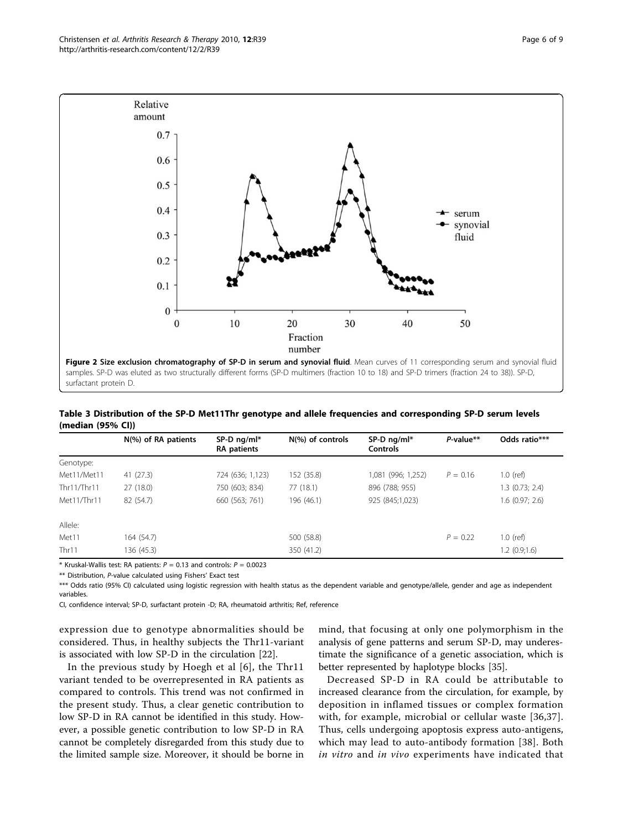<span id="page-5-0"></span>



Table 3 Distribution of the SP-D Met11Thr genotype and allele frequencies and corresponding SP-D serum levels (median (95% CI))

|             | N(%) of RA patients | SP-D $nq/ml*$<br>RA patients | $N(\%)$ of controls | SP-D ng/ml*<br><b>Controls</b> | $P$ -value** | Odds ratio***     |
|-------------|---------------------|------------------------------|---------------------|--------------------------------|--------------|-------------------|
| Genotype:   |                     |                              |                     |                                |              |                   |
| Met11/Met11 | 41 (27.3)           | 724 (636; 1,123)             | 152 (35.8)          | 081 (996; 1,252)               | $P = 0.16$   | $1.0$ (ref)       |
| Thr11/Thr11 | 27(18.0)            | 750 (603; 834)               | 77(18.1)            | 896 (788; 955)                 |              | $1.3$ (0.73; 2.4) |
| Met11/Thr11 | 82 (54.7)           | 660 (563; 761)               | 196 (46.1)          | 925 (845;1,023)                |              | 1.6 (0.97; 2.6)   |
| Allele:     |                     |                              |                     |                                |              |                   |
| Met11       | 164 (54.7)          |                              | 500 (58.8)          |                                | $P = 0.22$   | $1.0$ (ref)       |
| Thr11       | 136 (45.3)          |                              | 350 (41.2)          |                                |              | 1.2(0.9;1.6)      |

\* Kruskal-Wallis test: RA patients:  $P = 0.13$  and controls:  $P = 0.0023$ 

\*\* Distribution, P-value calculated using Fishers' Exact test

\*\*\* Odds ratio (95% CI) calculated using logistic regression with health status as the dependent variable and genotype/allele, gender and age as independent variables.

CI, confidence interval; SP-D, surfactant protein -D; RA, rheumatoid arthritis; Ref, reference

expression due to genotype abnormalities should be considered. Thus, in healthy subjects the Thr11-variant is associated with low SP-D in the circulation [[22](#page-7-0)].

In the previous study by Hoegh et al [[6\]](#page-7-0), the Thr11 variant tended to be overrepresented in RA patients as compared to controls. This trend was not confirmed in the present study. Thus, a clear genetic contribution to low SP-D in RA cannot be identified in this study. However, a possible genetic contribution to low SP-D in RA cannot be completely disregarded from this study due to the limited sample size. Moreover, it should be borne in

mind, that focusing at only one polymorphism in the analysis of gene patterns and serum SP-D, may underestimate the significance of a genetic association, which is better represented by haplotype blocks [\[35\]](#page-8-0).

Decreased SP-D in RA could be attributable to increased clearance from the circulation, for example, by deposition in inflamed tissues or complex formation with, for example, microbial or cellular waste [[36](#page-8-0),[37](#page-8-0)]. Thus, cells undergoing apoptosis express auto-antigens, which may lead to auto-antibody formation [\[38](#page-8-0)]. Both in vitro and in vivo experiments have indicated that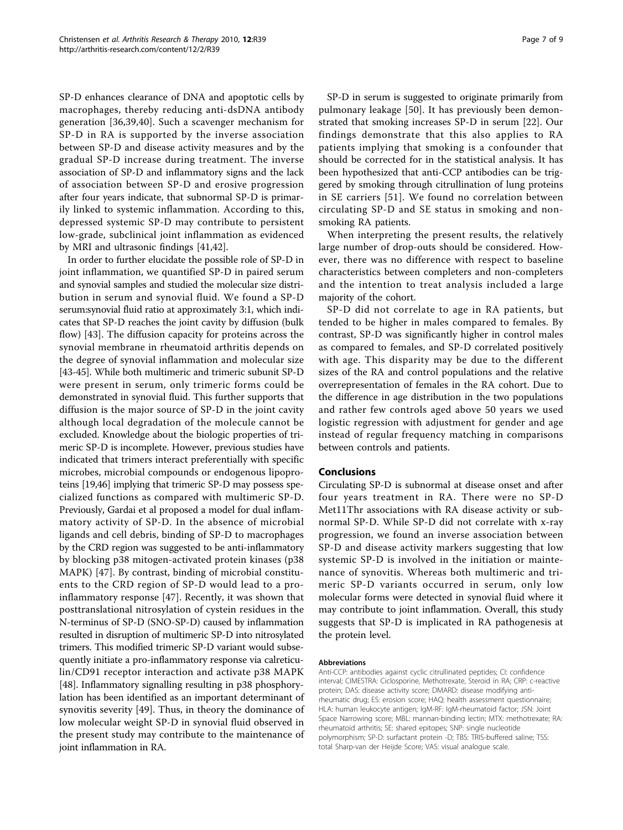SP-D enhances clearance of DNA and apoptotic cells by macrophages, thereby reducing anti-dsDNA antibody generation [[36,39,40\]](#page-8-0). Such a scavenger mechanism for SP-D in RA is supported by the inverse association between SP-D and disease activity measures and by the gradual SP-D increase during treatment. The inverse association of SP-D and inflammatory signs and the lack of association between SP-D and erosive progression after four years indicate, that subnormal SP-D is primarily linked to systemic inflammation. According to this, depressed systemic SP-D may contribute to persistent low-grade, subclinical joint inflammation as evidenced by MRI and ultrasonic findings [\[41,42\]](#page-8-0).

In order to further elucidate the possible role of SP-D in joint inflammation, we quantified SP-D in paired serum and synovial samples and studied the molecular size distribution in serum and synovial fluid. We found a SP-D serum:synovial fluid ratio at approximately 3:1, which indicates that SP-D reaches the joint cavity by diffusion (bulk flow) [[43\]](#page-8-0). The diffusion capacity for proteins across the synovial membrane in rheumatoid arthritis depends on the degree of synovial inflammation and molecular size [[43](#page-8-0)-[45](#page-8-0)]. While both multimeric and trimeric subunit SP-D were present in serum, only trimeric forms could be demonstrated in synovial fluid. This further supports that diffusion is the major source of SP-D in the joint cavity although local degradation of the molecule cannot be excluded. Knowledge about the biologic properties of trimeric SP-D is incomplete. However, previous studies have indicated that trimers interact preferentially with specific microbes, microbial compounds or endogenous lipoproteins [\[19,](#page-7-0)[46\]](#page-8-0) implying that trimeric SP-D may possess specialized functions as compared with multimeric SP-D. Previously, Gardai et al proposed a model for dual inflammatory activity of SP-D. In the absence of microbial ligands and cell debris, binding of SP-D to macrophages by the CRD region was suggested to be anti-inflammatory by blocking p38 mitogen-activated protein kinases (p38 MAPK) [[47\]](#page-8-0). By contrast, binding of microbial constituents to the CRD region of SP-D would lead to a proinflammatory response [\[47](#page-8-0)]. Recently, it was shown that posttranslational nitrosylation of cystein residues in the N-terminus of SP-D (SNO-SP-D) caused by inflammation resulted in disruption of multimeric SP-D into nitrosylated trimers. This modified trimeric SP-D variant would subsequently initiate a pro-inflammatory response via calreticulin/CD91 receptor interaction and activate p38 MAPK [[48\]](#page-8-0). Inflammatory signalling resulting in p38 phosphorylation has been identified as an important determinant of synovitis severity [[49\]](#page-8-0). Thus, in theory the dominance of low molecular weight SP-D in synovial fluid observed in the present study may contribute to the maintenance of joint inflammation in RA.

SP-D in serum is suggested to originate primarily from pulmonary leakage [[50\]](#page-8-0). It has previously been demonstrated that smoking increases SP-D in serum [\[22](#page-7-0)]. Our findings demonstrate that this also applies to RA patients implying that smoking is a confounder that should be corrected for in the statistical analysis. It has been hypothesized that anti-CCP antibodies can be triggered by smoking through citrullination of lung proteins in SE carriers [[51](#page-8-0)]. We found no correlation between circulating SP-D and SE status in smoking and nonsmoking RA patients.

When interpreting the present results, the relatively large number of drop-outs should be considered. However, there was no difference with respect to baseline characteristics between completers and non-completers and the intention to treat analysis included a large majority of the cohort.

SP-D did not correlate to age in RA patients, but tended to be higher in males compared to females. By contrast, SP-D was significantly higher in control males as compared to females, and SP-D correlated positively with age. This disparity may be due to the different sizes of the RA and control populations and the relative overrepresentation of females in the RA cohort. Due to the difference in age distribution in the two populations and rather few controls aged above 50 years we used logistic regression with adjustment for gender and age instead of regular frequency matching in comparisons between controls and patients.

#### Conclusions

Circulating SP-D is subnormal at disease onset and after four years treatment in RA. There were no SP-D Met11Thr associations with RA disease activity or subnormal SP-D. While SP-D did not correlate with x-ray progression, we found an inverse association between SP-D and disease activity markers suggesting that low systemic SP-D is involved in the initiation or maintenance of synovitis. Whereas both multimeric and trimeric SP-D variants occurred in serum, only low molecular forms were detected in synovial fluid where it may contribute to joint inflammation. Overall, this study suggests that SP-D is implicated in RA pathogenesis at the protein level.

#### Abbreviations

Anti-CCP: antibodies against cyclic citrullinated peptides; CI: confidence interval; CIMESTRA: Ciclosporine, Methotrexate, Steroid in RA; CRP: c-reactive protein; DAS: disease activity score; DMARD: disease modifying antirheumatic drug; ES: erosion score; HAQ: health assessment questionnaire; HLA: human leukocyte antigen; IgM-RF: IgM-rheumatoid factor; JSN: Joint Space Narrowing score; MBL: mannan-binding lectin; MTX: methotrexate; RA: rheumatoid arthritis; SE: shared epitopes; SNP: single nucleotide polymorphism; SP-D: surfactant protein -D; TBS: TRIS-buffered saline; TSS: total Sharp-van der Heijde Score; VAS: visual analogue scale.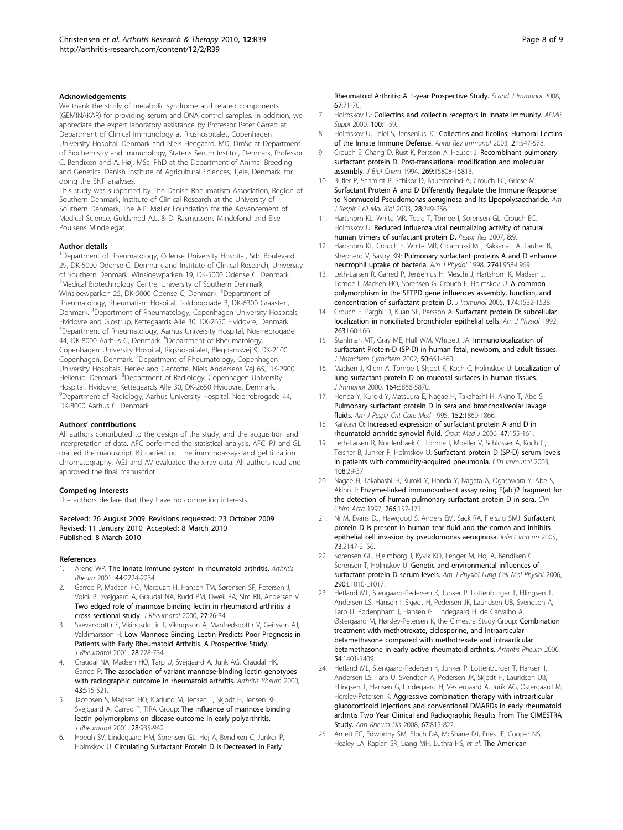#### <span id="page-7-0"></span>Acknowledgements

We thank the study of metabolic syndrome and related components (GEMINAKAR) for providing serum and DNA control samples. In addition, we appreciate the expert laboratory assistance by Professor Peter Garred at Department of Clinical Immunology at Rigshospitalet, Copenhagen University Hospital, Denmark and Niels Heegaard, MD, DmSc at Department of Biochemistry and Immunology, Statens Serum Institut, Denmark, Professor C. Bendixen and A. Høj, MSc, PhD at the Department of Animal Breeding and Genetics, Danish Institute of Agricultural Sciences, Tjele, Denmark, for doing the SNP analyses.

This study was supported by The Danish Rheumatism Association, Region of Southern Denmark, Institute of Clinical Research at the University of Southern Denmark, The A.P. Møller Foundation for the Advancement of Medical Science, Guldsmed A.L. & D. Rasmussens Mindefond and Else Poulsens Mindelegat.

#### Author details

<sup>1</sup>Department of Rheumatology, Odense University Hospital, Sdr. Boulevard 29, DK-5000 Odense C, Denmark and Institute of Clinical Research, University of Southern Denmark, Winsloewparken 19, DK-5000 Odense C, Denmark. <sup>2</sup>Medical Biotechnology Centre, University of Southern Denmark, Winsloewparken 25, DK-5000 Odense C, Denmark. <sup>3</sup>Department of Rheumatology, Rheumatism Hospital, Toldbodgade 3, DK-6300 Graasten, Denmark. <sup>4</sup> Department of Rheumatology, Copenhagen University Hospitals, Hvidovre and Glostrup, Kettegaards Alle 30, DK-2650 Hvidovre, Denmark. 5 Department of Rheumatology, Aarhus University Hospital, Noerrebrogade 44, DK-8000 Aarhus C, Denmark. <sup>6</sup>Department of Rheumatology, Copenhagen University Hospital, Rigshospitalet, Blegdamsvej 9, DK-2100 Copenhagen, Denmark. <sup>7</sup>Department of Rheumatology, Copenhagen University Hospitals, Herlev and Gentofte, Niels Andersens Vej 65, DK-2900 Hellerup, Denmark. <sup>8</sup>Department of Radiology, Copenhagen University Hospital, Hvidovre, Kettegaards Alle 30, DK-2650 Hvidovre, Denmark. 9 Department of Radiology, Aarhus University Hospital, Noerrebrogade 44, DK-8000 Aarhus C, Denmark.

#### Authors' contributions

All authors contributed to the design of the study, and the acquisition and interpretation of data. AFC performed the statistical analysis. AFC, PJ and GL drafted the manuscript. KJ carried out the immunoassays and gel filtration chromatography. AGJ and AV evaluated the x-ray data. All authors read and approved the final manuscript.

#### Competing interests

The authors declare that they have no competing interests.

Received: 26 August 2009 Revisions requested: 23 October 2009 Revised: 11 January 2010 Accepted: 8 March 2010 Published: 8 March 2010

#### References

- Arend WP: [The innate immune system in rheumatoid arthritis.](http://www.ncbi.nlm.nih.gov/pubmed/11665962?dopt=Abstract) Arthritis Rheum 2001, 44:2224-2234.
- 2. Garred P, Madsen HO, Marquart H, Hansen TM, Sørensen SF, Petersen J, Volck B, Svejgaard A, Graudal NA, Rudd PM, Dwek RA, Sim RB, Andersen V: [Two edged role of mannose binding lectin in rheumatoid arthritis: a](http://www.ncbi.nlm.nih.gov/pubmed/10648014?dopt=Abstract) [cross sectional study.](http://www.ncbi.nlm.nih.gov/pubmed/10648014?dopt=Abstract) J Rheumatol 2000, 27:26-34.
- Saevarsdottir S, Vikingsdottir T, Vikingsson A, Manfredsdottir V, Geirsson AJ, Valdimarsson H: [Low Mannose Binding Lectin Predicts Poor Prognosis in](http://www.ncbi.nlm.nih.gov/pubmed/11327242?dopt=Abstract) [Patients with Early Rheumatoid Arthritis. A Prospective Study.](http://www.ncbi.nlm.nih.gov/pubmed/11327242?dopt=Abstract) J Rheumatol 2001, 28:728-734.
- 4. Graudal NA, Madsen HO, Tarp U, Svejgaard A, Jurik AG, Graudal HK, Garred P: [The association of variant mannose-binding lectin genotypes](http://www.ncbi.nlm.nih.gov/pubmed/10728743?dopt=Abstract) [with radiographic outcome in rheumatoid arthritis.](http://www.ncbi.nlm.nih.gov/pubmed/10728743?dopt=Abstract) Arthritis Rheum 2000, 43:515-521.
- 5. Jacobsen S, Madsen HO, Klarlund M, Jensen T, Skjodt H, Jensen KE, Svejgaard A, Garred P, TIRA Group: [The influence of mannose binding](http://www.ncbi.nlm.nih.gov/pubmed/11361219?dopt=Abstract) [lectin polymorpisms on disease outcome in early polyarthritis.](http://www.ncbi.nlm.nih.gov/pubmed/11361219?dopt=Abstract) J Rheumatol 2001, 28:935-942.
- 6. Hoegh SV, Lindegaard HM, Sorensen GL, Hoj A, Bendixen C, Junker P, Holmskov U: [Circulating Surfactant Protein D is Decreased in Early](http://www.ncbi.nlm.nih.gov/pubmed/18052966?dopt=Abstract)

[Rheumatoid Arthritis: A 1-year Prospective Study.](http://www.ncbi.nlm.nih.gov/pubmed/18052966?dopt=Abstract) Scand J Immunol 2008, 67:71-76.

- 7. Holmskov U: [Collectins and collectin receptors in innate immunity.](http://www.ncbi.nlm.nih.gov/pubmed/11021254?dopt=Abstract) APMIS Suppl 2000, 100:1-59.
- 8. Holmskov U, Thiel S, Jensenius JC: [Collectins and ficolins: Humoral Lectins](http://www.ncbi.nlm.nih.gov/pubmed/12524383?dopt=Abstract) [of the Innate Immune Defense.](http://www.ncbi.nlm.nih.gov/pubmed/12524383?dopt=Abstract) Annu Rev Immunol 2003, 21:547-578.
- 9. Crouch E, Chang D, Rust K, Persson A, Heuser J: [Recombinant pulmonary](http://www.ncbi.nlm.nih.gov/pubmed/8195236?dopt=Abstract) [surfactant protein D. Post-translational modification and molecular](http://www.ncbi.nlm.nih.gov/pubmed/8195236?dopt=Abstract) [assembly.](http://www.ncbi.nlm.nih.gov/pubmed/8195236?dopt=Abstract) J Biol Chem 1994, 269:15808-15813.
- 10. Bufler P, Schmidt B, Schikor D, Bauernfeind A, Crouch EC, Griese M: [Surfactant Protein A and D Differently Regulate the Immune Response](http://www.ncbi.nlm.nih.gov/pubmed/12540493?dopt=Abstract) [to Nonmucoid Pseudomonas aeruginosa and Its Lipopolysaccharide.](http://www.ncbi.nlm.nih.gov/pubmed/12540493?dopt=Abstract) Am J Respir Cell Mol Biol 2003, 28:249-256.
- 11. Hartshorn KL, White MR, Tecle T, Tornoe I, Sorensen GL, Crouch EC, Holmskov U: [Reduced influenza viral neutralizing activity of natural](http://www.ncbi.nlm.nih.gov/pubmed/17280604?dopt=Abstract) [human trimers of surfactant protein D.](http://www.ncbi.nlm.nih.gov/pubmed/17280604?dopt=Abstract) Respir Res 2007, 8:9.
- 12. Hartshorn KL, Crouch E, White MR, Colamussi ML, Kakkanatt A, Tauber B, Shepherd V, Sastry KN: [Pulmonary surfactant proteins A and D enhance](http://www.ncbi.nlm.nih.gov/pubmed/9609735?dopt=Abstract) [neutrophil uptake of bacteria.](http://www.ncbi.nlm.nih.gov/pubmed/9609735?dopt=Abstract) Am J Physiol 1998, 274:L958-L969.
- 13. Leth-Larsen R, Garred P, Jensenius H, Meschi J, Hartshorn K, Madsen J, Tornoe I, Madsen HO, Sorensen G, Crouch E, Holmskov U: [A common](http://www.ncbi.nlm.nih.gov/pubmed/15661913?dopt=Abstract) [polymorphism in the SFTPD gene influences assembly, function, and](http://www.ncbi.nlm.nih.gov/pubmed/15661913?dopt=Abstract) [concentration of surfactant protein D.](http://www.ncbi.nlm.nih.gov/pubmed/15661913?dopt=Abstract) J Immunol 2005, 174:1532-1538.
- 14. Crouch E, Parghi D, Kuan SF, Persson A: [Surfactant protein D: subcellular](http://www.ncbi.nlm.nih.gov/pubmed/1636730?dopt=Abstract) [localization in nonciliated bronchiolar epithelial cells.](http://www.ncbi.nlm.nih.gov/pubmed/1636730?dopt=Abstract) Am J Physiol 1992, 263:L60-L66
- 15. Stahlman MT, Gray ME, Hull WM, Whitsett JA: [Immunolocalization of](http://www.ncbi.nlm.nih.gov/pubmed/11967276?dopt=Abstract) [surfactant Protein-D \(SP-D\) in human fetal, newborn, and adult tissues.](http://www.ncbi.nlm.nih.gov/pubmed/11967276?dopt=Abstract) J Histochem Cytochem 2002, 50:651-660.
- 16. Madsen J, Kliem A, Tornoe I, Skjodt K, Koch C, Holmskov U: [Localization of](http://www.ncbi.nlm.nih.gov/pubmed/10820266?dopt=Abstract) [lung surfactant protein D on mucosal surfaces in human tissues.](http://www.ncbi.nlm.nih.gov/pubmed/10820266?dopt=Abstract) J Immunol 2000, 164:5866-5870.
- 17. Honda Y, Kuroki Y, Matsuura E, Nagae H, Takahashi H, Akino T, Abe S: [Pulmonary surfactant protein D in sera and bronchoalveolar lavage](http://www.ncbi.nlm.nih.gov/pubmed/8520747?dopt=Abstract) [fluids.](http://www.ncbi.nlm.nih.gov/pubmed/8520747?dopt=Abstract) Am J Respir Crit Care Med 1995, 152:1860-1866.
- 18. Kankavi O: [Increased expression of surfactant protein A and D in](http://www.ncbi.nlm.nih.gov/pubmed/16489709?dopt=Abstract) [rheumatoid arthritic synovial fluid.](http://www.ncbi.nlm.nih.gov/pubmed/16489709?dopt=Abstract) Croat Med J 2006, 47:155-161.
- 19. Leth-Larsen R, Nordenbaek C, Tornoe I, Moeller V, Schlosser A, Koch C, Teisner B, Junker P, Holmskov U: [Surfactant protein D \(SP-D\) serum levels](http://www.ncbi.nlm.nih.gov/pubmed/12865068?dopt=Abstract) [in patients with community-acquired pneumonia.](http://www.ncbi.nlm.nih.gov/pubmed/12865068?dopt=Abstract) Clin Immunol 2003, 108:29-37.
- 20. Nagae H, Takahashi H, Kuroki Y, Honda Y, Nagata A, Ogasawara Y, Abe S, Akino T: [Enzyme-linked immunosorbent assay using F\(ab](http://www.ncbi.nlm.nih.gov/pubmed/9437544?dopt=Abstract)')2 fragment for [the detection of human pulmonary surfactant protein D in sera.](http://www.ncbi.nlm.nih.gov/pubmed/9437544?dopt=Abstract) Clin Chim Acta 1997, 266:157-171.
- 21. Ni M, Evans DJ, Hawgood S, Anders EM, Sack RA, Fleiszig SMJ: [Surfactant](http://www.ncbi.nlm.nih.gov/pubmed/15784557?dopt=Abstract) [protein D is present in human tear fluid and the cornea and inhibits](http://www.ncbi.nlm.nih.gov/pubmed/15784557?dopt=Abstract) [epithelial cell invasion by pseudomonas aeruginosa.](http://www.ncbi.nlm.nih.gov/pubmed/15784557?dopt=Abstract) Infect Immun 2005, 73:2147-2156.
- 22. Sorensen GL, Hjelmborg J, Kyvik KO, Fenger M, Hoj A, Bendixen C, Sorensen T, Holmskov U: [Genetic and environmental influences of](http://www.ncbi.nlm.nih.gov/pubmed/16361352?dopt=Abstract) [surfactant protein D serum levels.](http://www.ncbi.nlm.nih.gov/pubmed/16361352?dopt=Abstract) Am J Physiol Lung Cell Mol Physiol 2006, 290:L1010-L1017.
- 23. Hetland ML, Stengaard-Pedersen K, Junker P, Lottenburger T, Ellingsen T, Andersen LS, Hansen I, Skjødt H, Pedersen JK, Lauridsen UB, Svendsen A, Tarp U, Pødenphant J, Hansen G, Lindegaard H, de Carvalho A, Østergaard M, Hørslev-Petersen K, the Cimestra Study Group: [Combination](http://www.ncbi.nlm.nih.gov/pubmed/16645967?dopt=Abstract) [treatment with methotrexate, ciclosporine, and intraarticular](http://www.ncbi.nlm.nih.gov/pubmed/16645967?dopt=Abstract) [betamethasone compared with methotrexate and intraarticular](http://www.ncbi.nlm.nih.gov/pubmed/16645967?dopt=Abstract) [betamethasone in early active rheumatoid arthritis.](http://www.ncbi.nlm.nih.gov/pubmed/16645967?dopt=Abstract) Arthritis Rheum 2006, 54:1401-1409.
- 24. Hetland ML, Stengaard-Pedersen K, Junker P, Lottenburger T, Hansen I, Andersen LS, Tarp U, Svendsen A, Pedersen JK, Skjodt H, Lauridsen UB, Ellingsen T, Hansen G, Lindegaard H, Vestergaard A, Jurik AG, Ostergaard M, Horslev-Petersen K: [Aggressive combination therapy with intraarticular](http://www.ncbi.nlm.nih.gov/pubmed/17878209?dopt=Abstract) [glucocorticoid injections and conventional DMARDs in early rheumatoid](http://www.ncbi.nlm.nih.gov/pubmed/17878209?dopt=Abstract) [arthritis Two Year Clinical and Radiographic Results From The CIMESTRA](http://www.ncbi.nlm.nih.gov/pubmed/17878209?dopt=Abstract) [Study.](http://www.ncbi.nlm.nih.gov/pubmed/17878209?dopt=Abstract) Ann Rheum Dis 2008, 67:815-822.
- 25. Arnett FC, Edworthy SM, Bloch DA, McShane DJ, Fries JF, Cooper NS, Healey LA, Kaplan SR, Liang MH, Luthra HS, et al: [The American](http://www.ncbi.nlm.nih.gov/pubmed/3358796?dopt=Abstract)